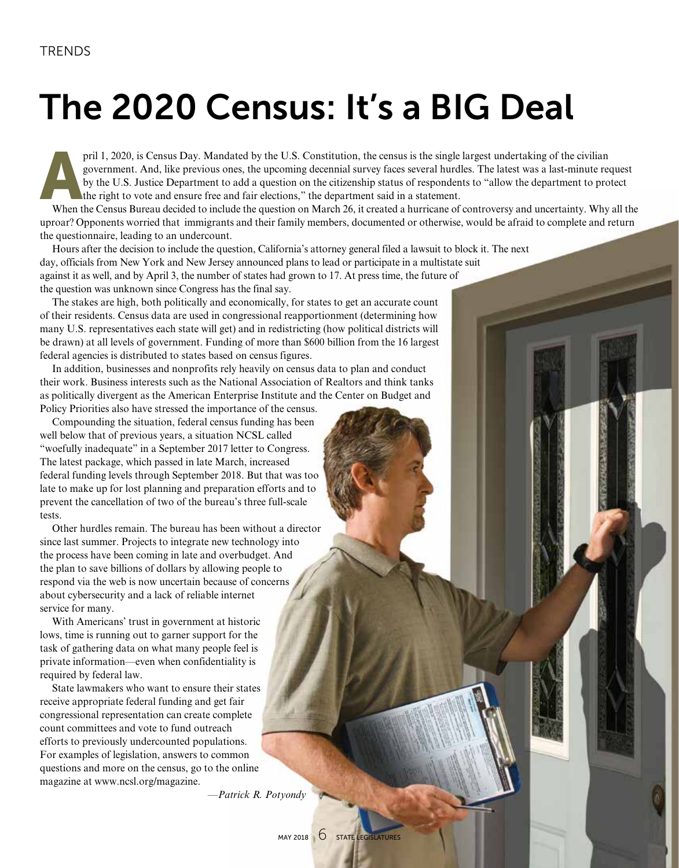## The 2020 Census: It's a BIG Deal

pril 1, 2020, is Census Day. Mandated by the U.S. Constitution, the census is the single largest undertaking of the civilian government. And, like previous ones, the upcoming decennial survey faces several hurdles. The lat government. And, like previous ones, the upcoming decennial survey faces several hurdles. The latest was a last-minute request by the U.S. Justice Department to add a question on the citizenship status of respondents to "allow the department to protect the right to vote and ensure free and fair elections," the department said in a statement.

When the Census Bureau decided to include the question on March 26, it created a hurricane of controversy and uncertainty. Why all the uproar? Opponents worried that immigrants and their family members, documented or otherwise, would be afraid to complete and return the questionnaire, leading to an undercount.

Hours after the decision to include the question, California's attorney general filed a lawsuit to block it. The next day, officials from New York and New Jersey announced plans to lead or participate in a multistate suit against it as well, and by April 3, the number of states had grown to 17. At press time, the future of the question was unknown since Congress has the final say.

The stakes are high, both politically and economically, for states to get an accurate count of their residents. Census data are used in congressional reapportionment (determining how many U.S. representatives each state will get) and in redistricting (how political districts will be drawn) at all levels of government. Funding of more than \$600 billion from the 16 largest federal agencies is distributed to states based on census figures.

In addition, businesses and nonprofits rely heavily on census data to plan and conduct their work. Business interests such as the National Association of Realtors and think tanks as politically divergent as the American Enterprise Institute and the Center on Budget and Policy Priorities also have stressed the importance of the census.

Compounding the situation, federal census funding has been well below that of previous years, a situation NCSL called "woefully inadequate" in a September 2017 letter to Congress. The latest package, which passed in late March, increased federal funding levels through September 2018. But that was too late to make up for lost planning and preparation efforts and to prevent the cancellation of two of the bureau's three full-scale tests.

Other hurdles remain. The bureau has been without a director since last summer. Projects to integrate new technology into the process have been coming in late and overbudget. And the plan to save billions of dollars by allowing people to respond via the web is now uncertain because of concerns about cybersecurity and a lack of reliable internet service for many.

With Americans' trust in government at historic lows, time is running out to garner support for the task of gathering data on what many people feel is private information—even when confidentiality is required by federal law.

State lawmakers who want to ensure their states receive appropriate federal funding and get fair congressional representation can create complete count committees and vote to fund outreach efforts to previously undercounted populations. For examples of legislation, answers to common questions and more on the census, go to the online magazine at www.ncsl.org/magazine.

*—Patrick R. Potyondy*